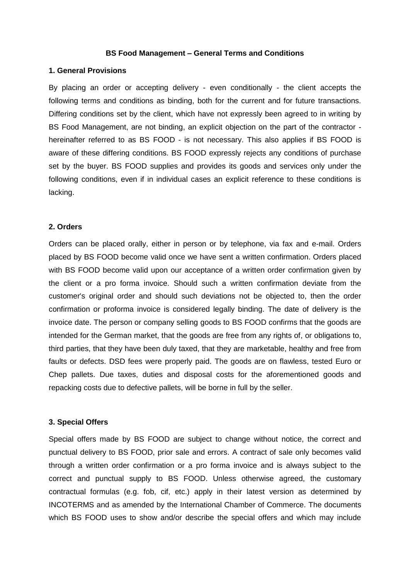### **BS Food Management – General Terms and Conditions**

### **1. General Provisions**

By placing an order or accepting delivery - even conditionally - the client accepts the following terms and conditions as binding, both for the current and for future transactions. Differing conditions set by the client, which have not expressly been agreed to in writing by BS Food Management, are not binding, an explicit objection on the part of the contractor hereinafter referred to as BS FOOD - is not necessary. This also applies if BS FOOD is aware of these differing conditions. BS FOOD expressly rejects any conditions of purchase set by the buyer. BS FOOD supplies and provides its goods and services only under the following conditions, even if in individual cases an explicit reference to these conditions is lacking.

### **2. Orders**

Orders can be placed orally, either in person or by telephone, via fax and e-mail. Orders placed by BS FOOD become valid once we have sent a written confirmation. Orders placed with BS FOOD become valid upon our acceptance of a written order confirmation given by the client or a pro forma invoice. Should such a written confirmation deviate from the customer's original order and should such deviations not be objected to, then the order confirmation or proforma invoice is considered legally binding. The date of delivery is the invoice date. The person or company selling goods to BS FOOD confirms that the goods are intended for the German market, that the goods are free from any rights of, or obligations to, third parties, that they have been duly taxed, that they are marketable, healthy and free from faults or defects. DSD fees were properly paid. The goods are on flawless, tested Euro or Chep pallets. Due taxes, duties and disposal costs for the aforementioned goods and repacking costs due to defective pallets, will be borne in full by the seller.

## **3. Special Offers**

Special offers made by BS FOOD are subject to change without notice, the correct and punctual delivery to BS FOOD, prior sale and errors. A contract of sale only becomes valid through a written order confirmation or a pro forma invoice and is always subject to the correct and punctual supply to BS FOOD. Unless otherwise agreed, the customary contractual formulas (e.g. fob, cif, etc.) apply in their latest version as determined by INCOTERMS and as amended by the International Chamber of Commerce. The documents which BS FOOD uses to show and/or describe the special offers and which may include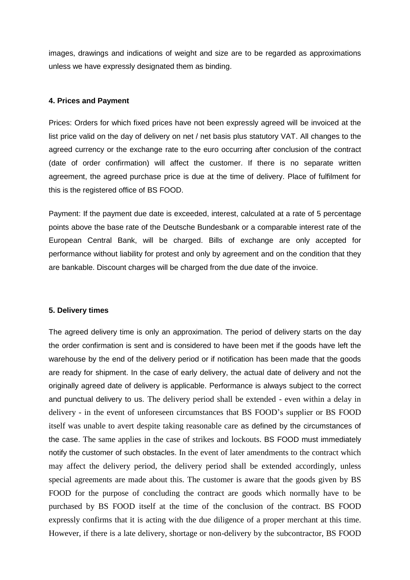images, drawings and indications of weight and size are to be regarded as approximations unless we have expressly designated them as binding.

# **4. Prices and Payment**

Prices: Orders for which fixed prices have not been expressly agreed will be invoiced at the list price valid on the day of delivery on net / net basis plus statutory VAT. All changes to the agreed currency or the exchange rate to the euro occurring after conclusion of the contract (date of order confirmation) will affect the customer. If there is no separate written agreement, the agreed purchase price is due at the time of delivery. Place of fulfilment for this is the registered office of BS FOOD.

Payment: If the payment due date is exceeded, interest, calculated at a rate of 5 percentage points above the base rate of the Deutsche Bundesbank or a comparable interest rate of the European Central Bank, will be charged. Bills of exchange are only accepted for performance without liability for protest and only by agreement and on the condition that they are bankable. Discount charges will be charged from the due date of the invoice.

## **5. Delivery times**

The agreed delivery time is only an approximation. The period of delivery starts on the day the order confirmation is sent and is considered to have been met if the goods have left the warehouse by the end of the delivery period or if notification has been made that the goods are ready for shipment. In the case of early delivery, the actual date of delivery and not the originally agreed date of delivery is applicable. Performance is always subject to the correct and punctual delivery to us. The delivery period shall be extended - even within a delay in delivery - in the event of unforeseen circumstances that BS FOOD's supplier or BS FOOD itself was unable to avert despite taking reasonable care as defined by the circumstances of the case. The same applies in the case of strikes and lockouts. BS FOOD must immediately notify the customer of such obstacles. In the event of later amendments to the contract which may affect the delivery period, the delivery period shall be extended accordingly, unless special agreements are made about this. The customer is aware that the goods given by BS FOOD for the purpose of concluding the contract are goods which normally have to be purchased by BS FOOD itself at the time of the conclusion of the contract. BS FOOD expressly confirms that it is acting with the due diligence of a proper merchant at this time. However, if there is a late delivery, shortage or non-delivery by the subcontractor, BS FOOD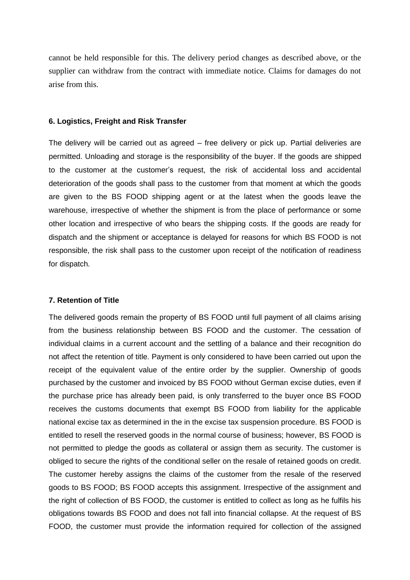cannot be held responsible for this. The delivery period changes as described above, or the supplier can withdraw from the contract with immediate notice. Claims for damages do not arise from this.

#### **6. Logistics, Freight and Risk Transfer**

The delivery will be carried out as agreed – free delivery or pick up. Partial deliveries are permitted. Unloading and storage is the responsibility of the buyer. If the goods are shipped to the customer at the customer's request, the risk of accidental loss and accidental deterioration of the goods shall pass to the customer from that moment at which the goods are given to the BS FOOD shipping agent or at the latest when the goods leave the warehouse, irrespective of whether the shipment is from the place of performance or some other location and irrespective of who bears the shipping costs. If the goods are ready for dispatch and the shipment or acceptance is delayed for reasons for which BS FOOD is not responsible, the risk shall pass to the customer upon receipt of the notification of readiness for dispatch.

## **7. Retention of Title**

The delivered goods remain the property of BS FOOD until full payment of all claims arising from the business relationship between BS FOOD and the customer. The cessation of individual claims in a current account and the settling of a balance and their recognition do not affect the retention of title. Payment is only considered to have been carried out upon the receipt of the equivalent value of the entire order by the supplier. Ownership of goods purchased by the customer and invoiced by BS FOOD without German excise duties, even if the purchase price has already been paid, is only transferred to the buyer once BS FOOD receives the customs documents that exempt BS FOOD from liability for the applicable national excise tax as determined in the in the excise tax suspension procedure. BS FOOD is entitled to resell the reserved goods in the normal course of business; however, BS FOOD is not permitted to pledge the goods as collateral or assign them as security. The customer is obliged to secure the rights of the conditional seller on the resale of retained goods on credit. The customer hereby assigns the claims of the customer from the resale of the reserved goods to BS FOOD; BS FOOD accepts this assignment. Irrespective of the assignment and the right of collection of BS FOOD, the customer is entitled to collect as long as he fulfils his obligations towards BS FOOD and does not fall into financial collapse. At the request of BS FOOD, the customer must provide the information required for collection of the assigned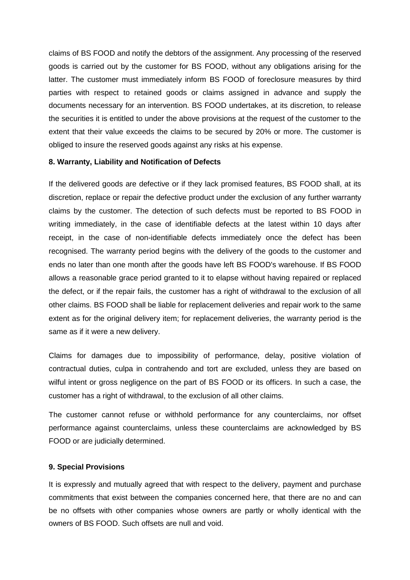claims of BS FOOD and notify the debtors of the assignment. Any processing of the reserved goods is carried out by the customer for BS FOOD, without any obligations arising for the latter. The customer must immediately inform BS FOOD of foreclosure measures by third parties with respect to retained goods or claims assigned in advance and supply the documents necessary for an intervention. BS FOOD undertakes, at its discretion, to release the securities it is entitled to under the above provisions at the request of the customer to the extent that their value exceeds the claims to be secured by 20% or more. The customer is obliged to insure the reserved goods against any risks at his expense.

# **8. Warranty, Liability and Notification of Defects**

If the delivered goods are defective or if they lack promised features, BS FOOD shall, at its discretion, replace or repair the defective product under the exclusion of any further warranty claims by the customer. The detection of such defects must be reported to BS FOOD in writing immediately, in the case of identifiable defects at the latest within 10 days after receipt, in the case of non-identifiable defects immediately once the defect has been recognised. The warranty period begins with the delivery of the goods to the customer and ends no later than one month after the goods have left BS FOOD's warehouse. If BS FOOD allows a reasonable grace period granted to it to elapse without having repaired or replaced the defect, or if the repair fails, the customer has a right of withdrawal to the exclusion of all other claims. BS FOOD shall be liable for replacement deliveries and repair work to the same extent as for the original delivery item; for replacement deliveries, the warranty period is the same as if it were a new delivery.

Claims for damages due to impossibility of performance, delay, positive violation of contractual duties, culpa in contrahendo and tort are excluded, unless they are based on wilful intent or gross negligence on the part of BS FOOD or its officers. In such a case, the customer has a right of withdrawal, to the exclusion of all other claims.

The customer cannot refuse or withhold performance for any counterclaims, nor offset performance against counterclaims, unless these counterclaims are acknowledged by BS FOOD or are judicially determined.

# **9. Special Provisions**

It is expressly and mutually agreed that with respect to the delivery, payment and purchase commitments that exist between the companies concerned here, that there are no and can be no offsets with other companies whose owners are partly or wholly identical with the owners of BS FOOD. Such offsets are null and void.